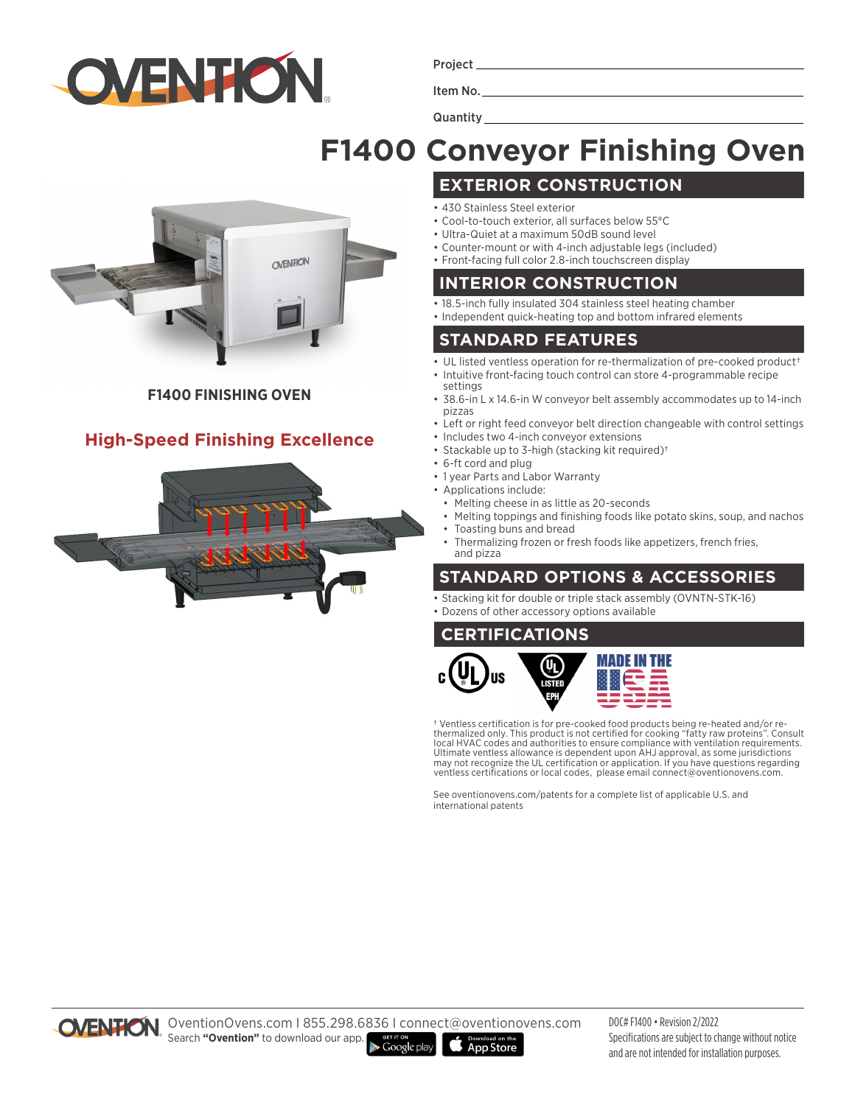

Project

Item No.

Quantity\_

# **F1400 Conveyor Finishing Oven**

**EXTERIOR CONSTRUCTION**



#### **F1400 FINISHING OVEN**

### **High-Speed Finishing Excellence**



#### • 430 Stainless Steel exterior

- Cool-to-touch exterior, all surfaces below 55°C
- Ultra-Quiet at a maximum 50dB sound level
- Counter-mount or with 4-inch adjustable legs (included)
- Front-facing full color 2.8-inch touchscreen display

#### **INTERIOR CONSTRUCTION**

- 18.5-inch fully insulated 304 stainless steel heating chamber
- Independent quick-heating top and bottom infrared elements

#### **STANDARD FEATURES**

- UL listed ventless operation for re-thermalization of pre-cooked product†
- Intuitive front-facing touch control can store 4-programmable recipe settings
- 38.6-in L x 14.6-in W conveyor belt assembly accommodates up to 14-inch pizzas
- Left or right feed conveyor belt direction changeable with control settings
- Includes two 4-inch conveyor extensions
- Stackable up to 3-high (stacking kit required)†
- 6-ft cord and plug
- 1 year Parts and Labor Warranty
- Applications include:
	- Melting cheese in as little as 20-seconds
	- Melting toppings and finishing foods like potato skins, soup, and nachos • Toasting buns and bread
	- Thermalizing frozen or fresh foods like appetizers, french fries, and pizza

## **STANDARD OPTIONS & ACCESSORIES**

- Stacking kit for double or triple stack assembly (OVNTN-STK-16)
- Dozens of other accessory options available

#### **CERTIFICATIONS**



† Ventless certification is for pre-cooked food products being re-heated and/or re-thermalized only. This product is not certified for cooking "fatty raw proteins". Consult local HVAC codes and authorities to ensure compliance with ventilation requirements. Ultimate ventless allowance is dependent upon AHJ approval, as some jurisdictions may not recognize the UL certification or application. If you have questions regarding ventless certifications or local codes, please email connect@oventionovens.com.

See oventionovens.com/patents for a complete list of applicable U.S. and international patents



OVENTION OventionOvens.com | 855.298.6836 | connect@oventionovens.com Search **"Ovention"** to download our app.  $\blacktriangleright$  Google play App Store

DOC# F1400 • Revision 2/2022 Specifications are subject to change without notice and are not intended for installation purposes.